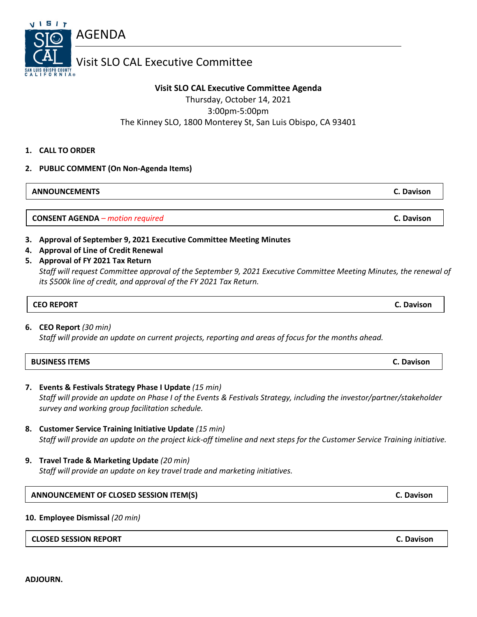**ADJOURN.**

### Visit SLO CAL Executive Committee

#### **Visit SLO CAL Executive Committee Agenda**

Thursday, October 14, 2021 3:00pm-5:00pm The Kinney SLO, 1800 Monterey St, San Luis Obispo, CA 93401

#### **1. CALL TO ORDER**

V I 5 I 7

#### **2. PUBLIC COMMENT (On Non-Agenda Items)**

AGENDA

**ANNOUNCEMENTS C. Davison**

**CONSENT AGENDA** *– motion required* **C. Davison**

#### **3. Approval of September 9, 2021 Executive Committee Meeting Minutes**

- **4. Approval of Line of Credit Renewal**
- **5. Approval of FY 2021 Tax Return**

*Staff will request Committee approval of the September 9, 2021 Executive Committee Meeting Minutes, the renewal of its \$500k line of credit, and approval of the FY 2021 Tax Return.*

### **CEO REPORT C. Davison**

#### **6. CEO Report** *(30 min)*

*Staff will provide an update on current projects, reporting and areas of focus for the months ahead.*

| <b>BUSINESS ITEMS</b> | <b>C. Davison</b> |
|-----------------------|-------------------|
|-----------------------|-------------------|

- **7. Events & Festivals Strategy Phase I Update** *(15 min) Staff will provide an update on Phase I of the Events & Festivals Strategy, including the investor/partner/stakeholder survey and working group facilitation schedule.*
- **8. Customer Service Training Initiative Update** *(15 min) Staff will provide an update on the project kick-off timeline and next steps for the Customer Service Training initiative.*
- **9. Travel Trade & Marketing Update** *(20 min) Staff will provide an update on key travel trade and marketing initiatives.*

#### **ANNOUNCEMENT OF CLOSED SESSION ITEM(S) C. Davison**

#### **10. Employee Dismissal** *(20 min)*

#### **CLOSED SESSION REPORT C. Davison**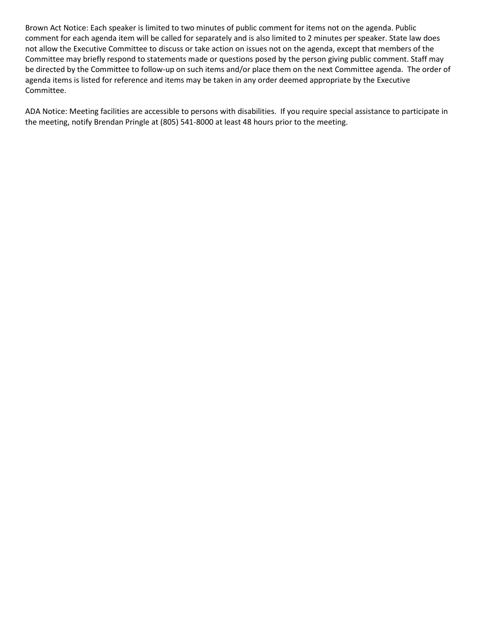Brown Act Notice: Each speaker is limited to two minutes of public comment for items not on the agenda. Public comment for each agenda item will be called for separately and is also limited to 2 minutes per speaker. State law does not allow the Executive Committee to discuss or take action on issues not on the agenda, except that members of the Committee may briefly respond to statements made or questions posed by the person giving public comment. Staff may be directed by the Committee to follow-up on such items and/or place them on the next Committee agenda. The order of agenda items is listed for reference and items may be taken in any order deemed appropriate by the Executive Committee.

ADA Notice: Meeting facilities are accessible to persons with disabilities. If you require special assistance to participate in the meeting, notify Brendan Pringle at (805) 541-8000 at least 48 hours prior to the meeting.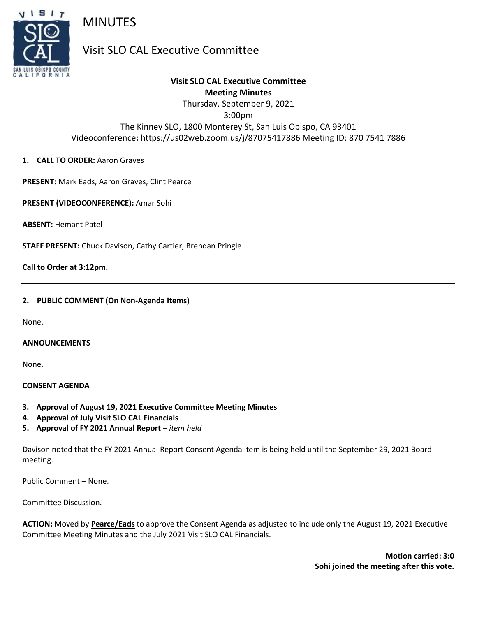

## MINUTES

### Visit SLO CAL Executive Committee

#### **Visit SLO CAL Executive Committee Meeting Minutes** Thursday, September 9, 2021

3:00pm

The Kinney SLO, 1800 Monterey St, San Luis Obispo, CA 93401 Videoconference**:** https://us02web.zoom.us/j/87075417886 Meeting ID: 870 7541 7886

#### **1. CALL TO ORDER:** Aaron Graves

**PRESENT:** Mark Eads, Aaron Graves, Clint Pearce

**PRESENT (VIDEOCONFERENCE):** Amar Sohi

**ABSENT:** Hemant Patel

**STAFF PRESENT:** Chuck Davison, Cathy Cartier, Brendan Pringle

**Call to Order at 3:12pm.**

#### **2. PUBLIC COMMENT (On Non-Agenda Items)**

None.

#### **ANNOUNCEMENTS**

None.

#### **CONSENT AGENDA**

- **3. Approval of August 19, 2021 Executive Committee Meeting Minutes**
- **4. Approval of July Visit SLO CAL Financials**
- **5. Approval of FY 2021 Annual Report** *– item held*

Davison noted that the FY 2021 Annual Report Consent Agenda item is being held until the September 29, 2021 Board meeting.

Public Comment – None.

Committee Discussion.

**ACTION:** Moved by **Pearce/Eads** to approve the Consent Agenda as adjusted to include only the August 19, 2021 Executive Committee Meeting Minutes and the July 2021 Visit SLO CAL Financials.

> **Motion carried: 3:0 Sohi joined the meeting after this vote.**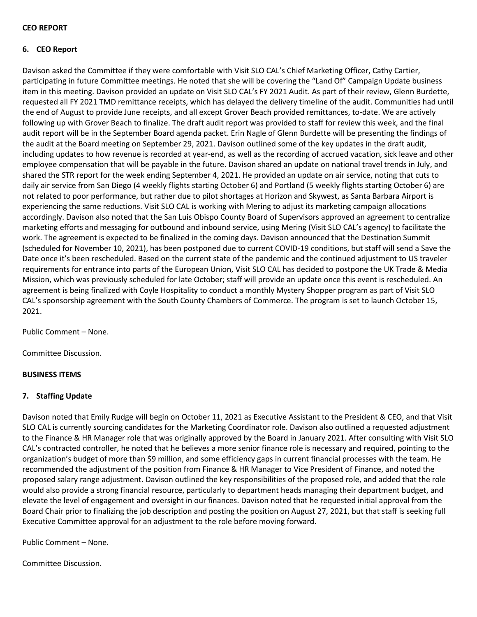#### **CEO REPORT**

#### **6. CEO Report**

Davison asked the Committee if they were comfortable with Visit SLO CAL's Chief Marketing Officer, Cathy Cartier, participating in future Committee meetings. He noted that she will be covering the "Land Of" Campaign Update business item in this meeting. Davison provided an update on Visit SLO CAL's FY 2021 Audit. As part of their review, Glenn Burdette, requested all FY 2021 TMD remittance receipts, which has delayed the delivery timeline of the audit. Communities had until the end of August to provide June receipts, and all except Grover Beach provided remittances, to-date. We are actively following up with Grover Beach to finalize. The draft audit report was provided to staff for review this week, and the final audit report will be in the September Board agenda packet. Erin Nagle of Glenn Burdette will be presenting the findings of the audit at the Board meeting on September 29, 2021. Davison outlined some of the key updates in the draft audit, including updates to how revenue is recorded at year-end, as well as the recording of accrued vacation, sick leave and other employee compensation that will be payable in the future. Davison shared an update on national travel trends in July, and shared the STR report for the week ending September 4, 2021. He provided an update on air service, noting that cuts to daily air service from San Diego (4 weekly flights starting October 6) and Portland (5 weekly flights starting October 6) are not related to poor performance, but rather due to pilot shortages at Horizon and Skywest, as Santa Barbara Airport is experiencing the same reductions. Visit SLO CAL is working with Mering to adjust its marketing campaign allocations accordingly. Davison also noted that the San Luis Obispo County Board of Supervisors approved an agreement to centralize marketing efforts and messaging for outbound and inbound service, using Mering (Visit SLO CAL's agency) to facilitate the work. The agreement is expected to be finalized in the coming days. Davison announced that the Destination Summit (scheduled for November 10, 2021), has been postponed due to current COVID-19 conditions, but staff will send a Save the Date once it's been rescheduled. Based on the current state of the pandemic and the continued adjustment to US traveler requirements for entrance into parts of the European Union, Visit SLO CAL has decided to postpone the UK Trade & Media Mission, which was previously scheduled for late October; staff will provide an update once this event is rescheduled. An agreement is being finalized with Coyle Hospitality to conduct a monthly Mystery Shopper program as part of Visit SLO CAL's sponsorship agreement with the South County Chambers of Commerce. The program is set to launch October 15, 2021.

Public Comment – None.

Committee Discussion.

#### **BUSINESS ITEMS**

#### **7. Staffing Update**

Davison noted that Emily Rudge will begin on October 11, 2021 as Executive Assistant to the President & CEO, and that Visit SLO CAL is currently sourcing candidates for the Marketing Coordinator role. Davison also outlined a requested adjustment to the Finance & HR Manager role that was originally approved by the Board in January 2021. After consulting with Visit SLO CAL's contracted controller, he noted that he believes a more senior finance role is necessary and required, pointing to the organization's budget of more than \$9 million, and some efficiency gaps in current financial processes with the team. He recommended the adjustment of the position from Finance & HR Manager to Vice President of Finance, and noted the proposed salary range adjustment. Davison outlined the key responsibilities of the proposed role, and added that the role would also provide a strong financial resource, particularly to department heads managing their department budget, and elevate the level of engagement and oversight in our finances. Davison noted that he requested initial approval from the Board Chair prior to finalizing the job description and posting the position on August 27, 2021, but that staff is seeking full Executive Committee approval for an adjustment to the role before moving forward.

Public Comment – None.

Committee Discussion.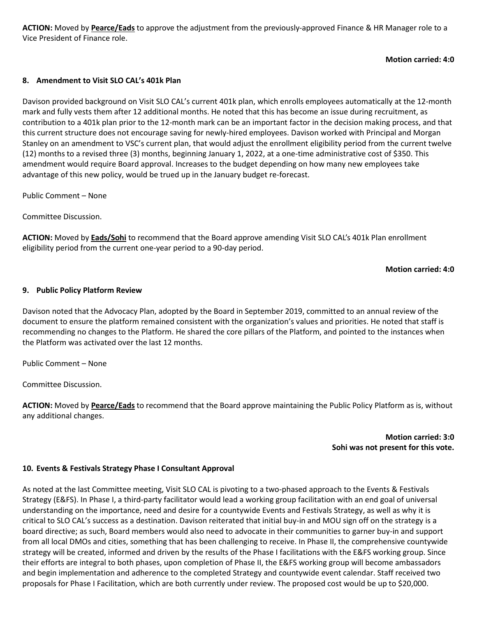**ACTION:** Moved by **Pearce/Eads** to approve the adjustment from the previously-approved Finance & HR Manager role to a Vice President of Finance role.

#### **Motion carried: 4:0**

#### **8. Amendment to Visit SLO CAL's 401k Plan**

Davison provided background on Visit SLO CAL's current 401k plan, which enrolls employees automatically at the 12-month mark and fully vests them after 12 additional months. He noted that this has become an issue during recruitment, as contribution to a 401k plan prior to the 12-month mark can be an important factor in the decision making process, and that this current structure does not encourage saving for newly-hired employees. Davison worked with Principal and Morgan Stanley on an amendment to VSC's current plan, that would adjust the enrollment eligibility period from the current twelve (12) months to a revised three (3) months, beginning January 1, 2022, at a one-time administrative cost of \$350. This amendment would require Board approval. Increases to the budget depending on how many new employees take advantage of this new policy, would be trued up in the January budget re-forecast.

Public Comment – None

Committee Discussion.

**ACTION:** Moved by **Eads/Sohi** to recommend that the Board approve amending Visit SLO CAL's 401k Plan enrollment eligibility period from the current one-year period to a 90-day period.

#### **Motion carried: 4:0**

#### **9. Public Policy Platform Review**

Davison noted that the Advocacy Plan, adopted by the Board in September 2019, committed to an annual review of the document to ensure the platform remained consistent with the organization's values and priorities. He noted that staff is recommending no changes to the Platform. He shared the core pillars of the Platform, and pointed to the instances when the Platform was activated over the last 12 months.

Public Comment – None

Committee Discussion.

**ACTION:** Moved by **Pearce/Eads** to recommend that the Board approve maintaining the Public Policy Platform as is, without any additional changes.

> **Motion carried: 3:0 Sohi was not present for this vote.**

#### **10. Events & Festivals Strategy Phase I Consultant Approval**

As noted at the last Committee meeting, Visit SLO CAL is pivoting to a two-phased approach to the Events & Festivals Strategy (E&FS). In Phase I, a third-party facilitator would lead a working group facilitation with an end goal of universal understanding on the importance, need and desire for a countywide Events and Festivals Strategy, as well as why it is critical to SLO CAL's success as a destination. Davison reiterated that initial buy-in and MOU sign off on the strategy is a board directive; as such, Board members would also need to advocate in their communities to garner buy-in and support from all local DMOs and cities, something that has been challenging to receive. In Phase II, the comprehensive countywide strategy will be created, informed and driven by the results of the Phase I facilitations with the E&FS working group. Since their efforts are integral to both phases, upon completion of Phase II, the E&FS working group will become ambassadors and begin implementation and adherence to the completed Strategy and countywide event calendar. Staff received two proposals for Phase I Facilitation, which are both currently under review. The proposed cost would be up to \$20,000.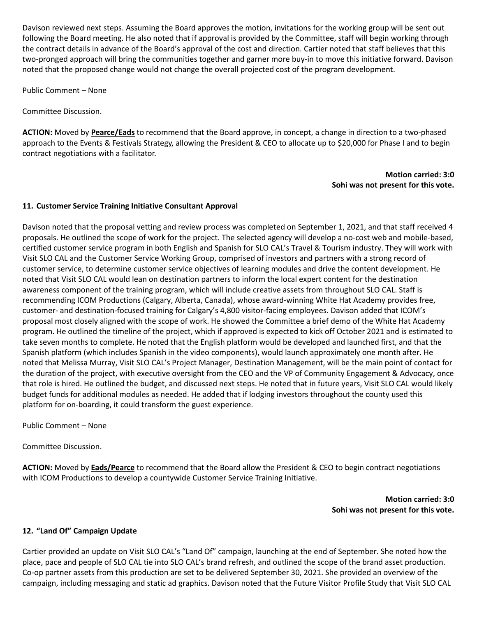Davison reviewed next steps. Assuming the Board approves the motion, invitations for the working group will be sent out following the Board meeting. He also noted that if approval is provided by the Committee, staff will begin working through the contract details in advance of the Board's approval of the cost and direction. Cartier noted that staff believes that this two-pronged approach will bring the communities together and garner more buy-in to move this initiative forward. Davison noted that the proposed change would not change the overall projected cost of the program development.

Public Comment – None

Committee Discussion.

**ACTION:** Moved by **Pearce/Eads** to recommend that the Board approve, in concept, a change in direction to a two-phased approach to the Events & Festivals Strategy, allowing the President & CEO to allocate up to \$20,000 for Phase I and to begin contract negotiations with a facilitator.

#### **Motion carried: 3:0 Sohi was not present for this vote.**

#### **11. Customer Service Training Initiative Consultant Approval**

Davison noted that the proposal vetting and review process was completed on September 1, 2021, and that staff received 4 proposals. He outlined the scope of work for the project. The selected agency will develop a no-cost web and mobile-based, certified customer service program in both English and Spanish for SLO CAL's Travel & Tourism industry. They will work with Visit SLO CAL and the Customer Service Working Group, comprised of investors and partners with a strong record of customer service, to determine customer service objectives of learning modules and drive the content development. He noted that Visit SLO CAL would lean on destination partners to inform the local expert content for the destination awareness component of the training program, which will include creative assets from throughout SLO CAL. Staff is recommending ICOM Productions (Calgary, Alberta, Canada), whose award-winning White Hat Academy provides free, customer- and destination-focused training for Calgary's 4,800 visitor-facing employees. Davison added that ICOM's proposal most closely aligned with the scope of work. He showed the Committee a brief demo of the White Hat Academy program. He outlined the timeline of the project, which if approved is expected to kick off October 2021 and is estimated to take seven months to complete. He noted that the English platform would be developed and launched first, and that the Spanish platform (which includes Spanish in the video components), would launch approximately one month after. He noted that Melissa Murray, Visit SLO CAL's Project Manager, Destination Management, will be the main point of contact for the duration of the project, with executive oversight from the CEO and the VP of Community Engagement & Advocacy, once that role is hired. He outlined the budget, and discussed next steps. He noted that in future years, Visit SLO CAL would likely budget funds for additional modules as needed. He added that if lodging investors throughout the county used this platform for on-boarding, it could transform the guest experience.

Public Comment – None

Committee Discussion.

**ACTION:** Moved by **Eads/Pearce** to recommend that the Board allow the President & CEO to begin contract negotiations with ICOM Productions to develop a countywide Customer Service Training Initiative.

> **Motion carried: 3:0 Sohi was not present for this vote.**

#### **12. "Land Of" Campaign Update**

Cartier provided an update on Visit SLO CAL's "Land Of" campaign, launching at the end of September. She noted how the place, pace and people of SLO CAL tie into SLO CAL's brand refresh, and outlined the scope of the brand asset production. Co-op partner assets from this production are set to be delivered September 30, 2021. She provided an overview of the campaign, including messaging and static ad graphics. Davison noted that the Future Visitor Profile Study that Visit SLO CAL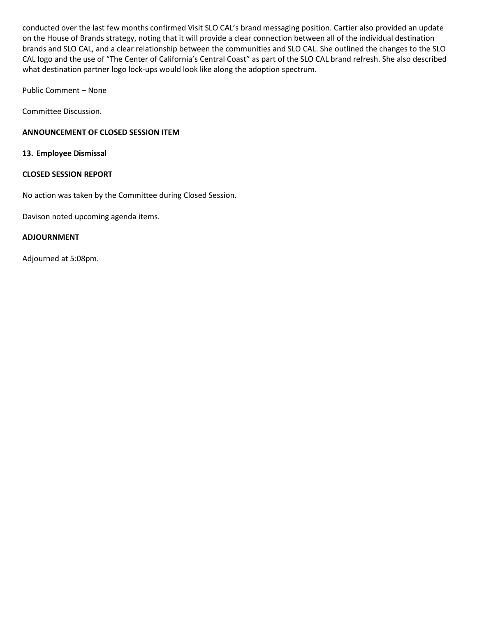conducted over the last few months confirmed Visit SLO CAL's brand messaging position. Cartier also provided an update on the House of Brands strategy, noting that it will provide a clear connection between all of the individual destination brands and SLO CAL, and a clear relationship between the communities and SLO CAL. She outlined the changes to the SLO CAL logo and the use of "The Center of California's Central Coast" as part of the SLO CAL brand refresh. She also described what destination partner logo lock-ups would look like along the adoption spectrum.

Public Comment – None

Committee Discussion.

#### **ANNOUNCEMENT OF CLOSED SESSION ITEM**

**13. Employee Dismissal**

#### **CLOSED SESSION REPORT**

No action was taken by the Committee during Closed Session.

Davison noted upcoming agenda items.

#### **ADJOURNMENT**

Adjourned at 5:08pm.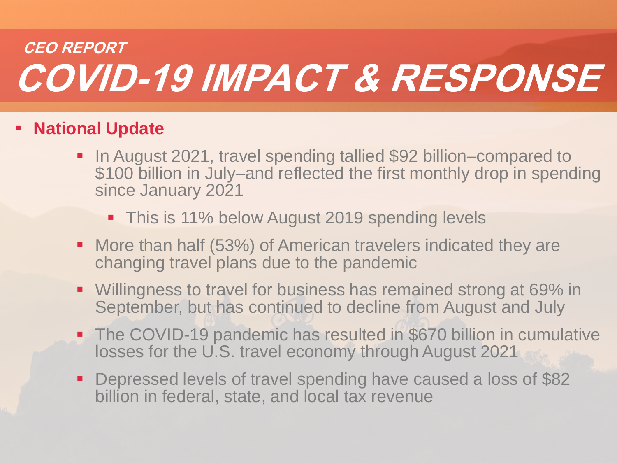# **COVID-19 IMPACT & RESPONSE CEO REPORT**

## **National Update**

- In August 2021, travel spending tallied \$92 billion–compared to \$100 billion in July–and reflected the first monthly drop in spending since January 2021
	- **This is 11% below August 2019 spending levels**
- More than half (53%) of American travelers indicated they are changing travel plans due to the pandemic
- Willingness to travel for business has remained strong at 69% in September, but has continued to decline from August and July
- The COVID-19 pandemic has resulted in \$670 billion in cumulative losses for the U.S. travel economy through August 2021
- Depressed levels of travel spending have caused a loss of \$82 billion in federal, state, and local tax revenue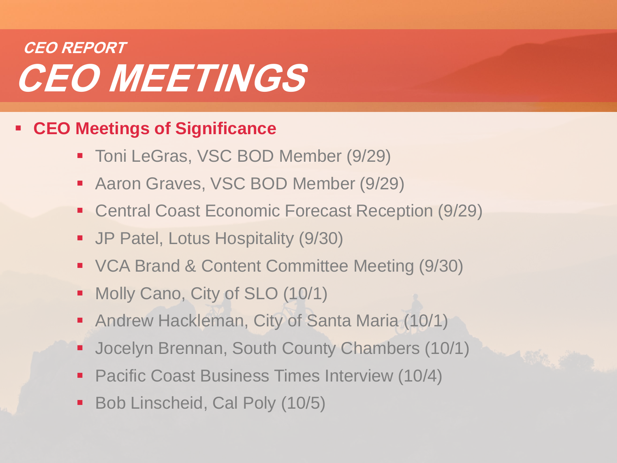# **CEO MEETINGS CEO REPORT**

## **CEO Meetings of Significance**

- Toni LeGras, VSC BOD Member (9/29)
- Aaron Graves, VSC BOD Member (9/29)
- Central Coast Economic Forecast Reception (9/29)
- JP Patel, Lotus Hospitality (9/30)
- VCA Brand & Content Committee Meeting (9/30)
- Molly Cano, City of SLO (10/1)
- Andrew Hackleman, City of Santa Maria (10/1)
- Jocelyn Brennan, South County Chambers (10/1)
- **Pacific Coast Business Times Interview (10/4)**
- Bob Linscheid, Cal Poly (10/5)